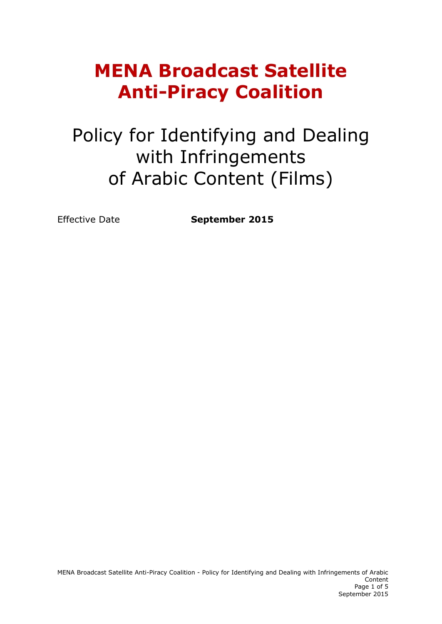# **MENA Broadcast Satellite Anti-Piracy Coalition**

# Policy for Identifying and Dealing with Infringements of Arabic Content (Films)

Effective Date **September 2015**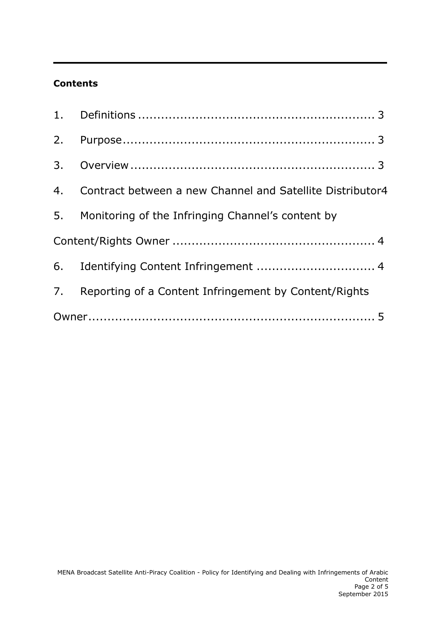## **Contents**

| 4. Contract between a new Channel and Satellite Distributor4 |
|--------------------------------------------------------------|
| 5. Monitoring of the Infringing Channel's content by         |
|                                                              |
|                                                              |
| 7. Reporting of a Content Infringement by Content/Rights     |
|                                                              |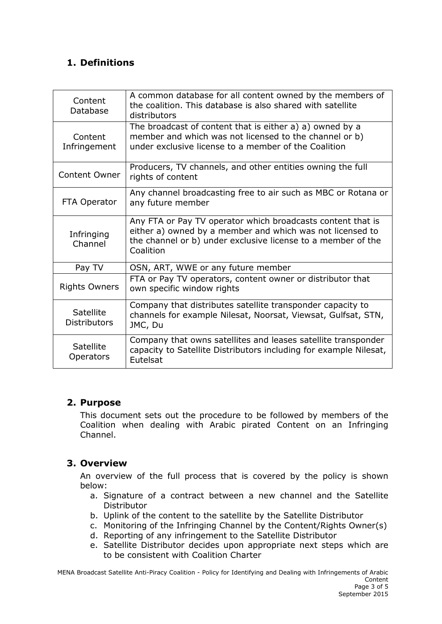# <span id="page-2-0"></span>**1. Definitions**

| Content<br>Database                     | A common database for all content owned by the members of<br>the coalition. This database is also shared with satellite<br>distributors                                                               |
|-----------------------------------------|-------------------------------------------------------------------------------------------------------------------------------------------------------------------------------------------------------|
| Content<br>Infringement                 | The broadcast of content that is either a) a) owned by a<br>member and which was not licensed to the channel or b)<br>under exclusive license to a member of the Coalition                            |
| <b>Content Owner</b>                    | Producers, TV channels, and other entities owning the full<br>rights of content                                                                                                                       |
| FTA Operator                            | Any channel broadcasting free to air such as MBC or Rotana or<br>any future member                                                                                                                    |
| Infringing<br>Channel                   | Any FTA or Pay TV operator which broadcasts content that is<br>either a) owned by a member and which was not licensed to<br>the channel or b) under exclusive license to a member of the<br>Coalition |
| Pay TV                                  | OSN, ART, WWE or any future member                                                                                                                                                                    |
| <b>Rights Owners</b>                    | FTA or Pay TV operators, content owner or distributor that<br>own specific window rights                                                                                                              |
| <b>Satellite</b><br><b>Distributors</b> | Company that distributes satellite transponder capacity to<br>channels for example Nilesat, Noorsat, Viewsat, Gulfsat, STN,<br>JMC, Du                                                                |
| <b>Satellite</b><br><b>Operators</b>    | Company that owns satellites and leases satellite transponder<br>capacity to Satellite Distributors including for example Nilesat,<br>Eutelsat                                                        |

### <span id="page-2-1"></span>**2. Purpose**

This document sets out the procedure to be followed by members of the Coalition when dealing with Arabic pirated Content on an Infringing Channel.

### <span id="page-2-2"></span>**3. Overview**

An overview of the full process that is covered by the policy is shown below:

- a. Signature of a contract between a new channel and the Satellite Distributor
- b. Uplink of the content to the satellite by the Satellite Distributor
- c. Monitoring of the Infringing Channel by the Content/Rights Owner(s)
- d. Reporting of any infringement to the Satellite Distributor
- e. Satellite Distributor decides upon appropriate next steps which are to be consistent with Coalition Charter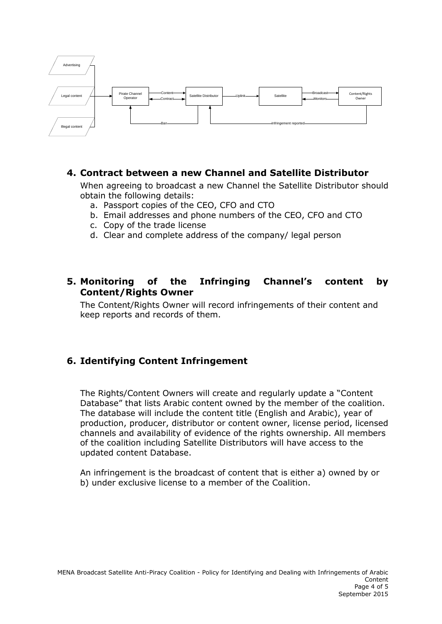

#### <span id="page-3-0"></span>**4. Contract between a new Channel and Satellite Distributor**

When agreeing to broadcast a new Channel the Satellite Distributor should obtain the following details:

- a. Passport copies of the CEO, CFO and CTO
- b. Email addresses and phone numbers of the CEO, CFO and CTO
- c. Copy of the trade license
- d. Clear and complete address of the company/ legal person

#### <span id="page-3-1"></span>**5. Monitoring of the Infringing Channel's content by Content/Rights Owner**

The Content/Rights Owner will record infringements of their content and keep reports and records of them.

### <span id="page-3-2"></span>**6. Identifying Content Infringement**

The Rights/Content Owners will create and regularly update a "Content Database" that lists Arabic content owned by the member of the coalition. The database will include the content title (English and Arabic), year of production, producer, distributor or content owner, license period, licensed channels and availability of evidence of the rights ownership. All members of the coalition including Satellite Distributors will have access to the updated content Database.

An infringement is the broadcast of content that is either a) owned by or b) under exclusive license to a member of the Coalition.